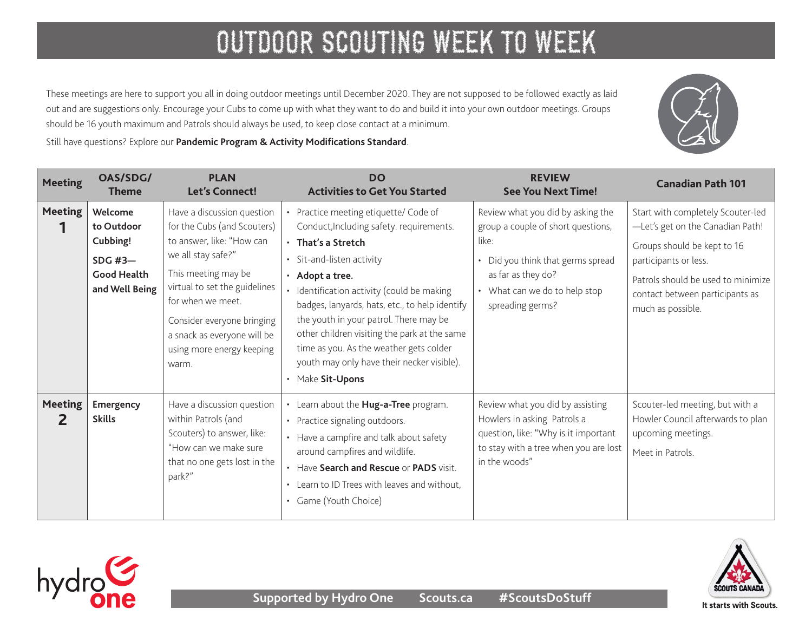These meetings are here to support you all in doing outdoor meetings until December 2020. They are not supposed to be followed exactly as laid out and are suggestions only. Encourage your Cubs to come up with what they want to do and build it into your own outdoor meetings. Groups should be 16 youth maximum and Patrols should always be used, to keep close contact at a minimum.

Still have questions? Explore our **[Pandemic Program & Activity Modifications Standard](https://www.scouts.ca/resources/bpp/policies/pandemic-program-modification-standards.html)**.

| <b>Meeting</b>      | OAS/SDG/<br><b>Theme</b>                                                               | <b>PLAN</b><br>Let's Connect!                                                                                                                                                                                                                                                                | <b>DO</b><br><b>Activities to Get You Started</b>                                                                                                                                                                                                                                                                                                                                                                                                            | <b>REVIEW</b><br><b>See You Next Time!</b>                                                                                                                                                       | <b>Canadian Path 101</b>                                                                                                                                                                                                    |
|---------------------|----------------------------------------------------------------------------------------|----------------------------------------------------------------------------------------------------------------------------------------------------------------------------------------------------------------------------------------------------------------------------------------------|--------------------------------------------------------------------------------------------------------------------------------------------------------------------------------------------------------------------------------------------------------------------------------------------------------------------------------------------------------------------------------------------------------------------------------------------------------------|--------------------------------------------------------------------------------------------------------------------------------------------------------------------------------------------------|-----------------------------------------------------------------------------------------------------------------------------------------------------------------------------------------------------------------------------|
| <b>Meeting</b>      | Welcome<br>to Outdoor<br>Cubbing!<br>SDG $#3-$<br><b>Good Health</b><br>and Well Being | Have a discussion question<br>for the Cubs (and Scouters)<br>to answer, like: "How can<br>we all stay safe?"<br>This meeting may be<br>virtual to set the guidelines<br>for when we meet.<br>Consider everyone bringing<br>a snack as everyone will be<br>using more energy keeping<br>warm. | Practice meeting etiquette/ Code of<br>Conduct, Including safety. requirements.<br>· That's a Stretch<br>• Sit-and-listen activity<br>• Adopt a tree.<br>· Identification activity (could be making<br>badges, lanyards, hats, etc., to help identify<br>the youth in your patrol. There may be<br>other children visiting the park at the same<br>time as you. As the weather gets colder<br>youth may only have their necker visible).<br>• Make Sit-Upons | Review what you did by asking the<br>group a couple of short questions,<br>like:<br>• Did you think that germs spread<br>as far as they do?<br>• What can we do to help stop<br>spreading germs? | Start with completely Scouter-led<br>-Let's get on the Canadian Path!<br>Groups should be kept to 16<br>participants or less.<br>Patrols should be used to minimize<br>contact between participants as<br>much as possible. |
| <b>Meeting</b><br>2 | Emergency<br><b>Skills</b>                                                             | Have a discussion question<br>within Patrols (and<br>Scouters) to answer, like:<br>"How can we make sure<br>that no one gets lost in the<br>park?"                                                                                                                                           | Learn about the Hug-a-Tree program.<br>• Practice signaling outdoors.<br>• Have a campfire and talk about safety<br>around campfires and wildlife.<br>• Have Search and Rescue or PADS visit.<br>• Learn to ID Trees with leaves and without,<br>• Game (Youth Choice)                                                                                                                                                                                       | Review what you did by assisting<br>Howlers in asking Patrols a<br>question, like: "Why is it important<br>to stay with a tree when you are lost<br>in the woods"                                | Scouter-led meeting, but with a<br>Howler Council afterwards to plan<br>upcoming meetings.<br>Meet in Patrols.                                                                                                              |



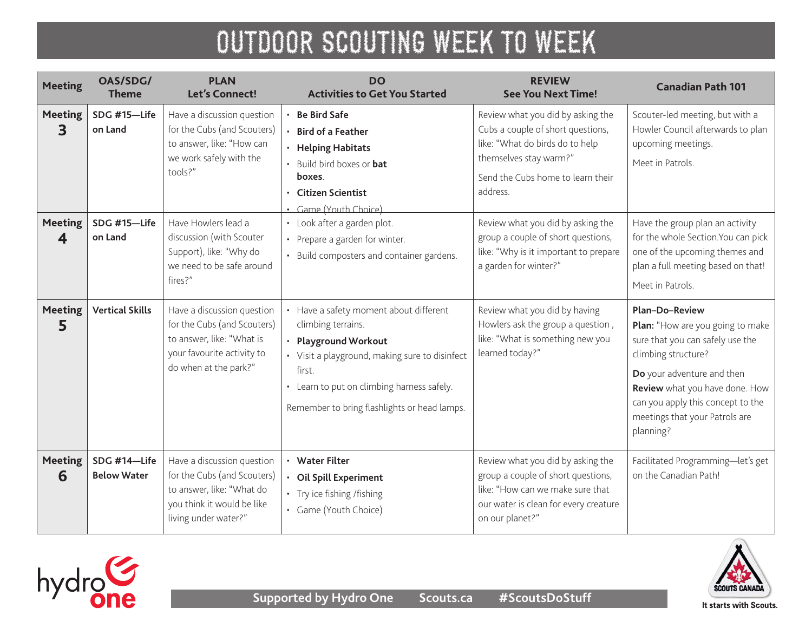| <b>Meeting</b>      | OAS/SDG/<br><b>Theme</b>           | <b>PLAN</b><br><b>Let's Connect!</b>                                                                                                          | <b>DO</b><br><b>Activities to Get You Started</b>                                                                                                                                                                                              | <b>REVIEW</b><br><b>See You Next Time!</b>                                                                                                                                           | <b>Canadian Path 101</b>                                                                                                                                                                                                                                          |
|---------------------|------------------------------------|-----------------------------------------------------------------------------------------------------------------------------------------------|------------------------------------------------------------------------------------------------------------------------------------------------------------------------------------------------------------------------------------------------|--------------------------------------------------------------------------------------------------------------------------------------------------------------------------------------|-------------------------------------------------------------------------------------------------------------------------------------------------------------------------------------------------------------------------------------------------------------------|
| <b>Meeting</b><br>3 | SDG #15-Life<br>on Land            | Have a discussion question<br>for the Cubs (and Scouters)<br>to answer, like: "How can<br>we work safely with the<br>tools?"                  | <b>Be Bird Safe</b><br><b>Bird of a Feather</b><br>· Helping Habitats<br>• Build bird boxes or bat<br>boxes.<br><b>Citizen Scientist</b><br>$\bullet$<br>· Game (Youth Choice)                                                                 | Review what you did by asking the<br>Cubs a couple of short questions,<br>like: "What do birds do to help<br>themselves stay warm?"<br>Send the Cubs home to learn their<br>address. | Scouter-led meeting, but with a<br>Howler Council afterwards to plan<br>upcoming meetings.<br>Meet in Patrols.                                                                                                                                                    |
| <b>Meeting</b><br>4 | SDG #15-Life<br>on Land            | Have Howlers lead a<br>discussion (with Scouter<br>Support), like: "Why do<br>we need to be safe around<br>fires?"                            | · Look after a garden plot.<br>• Prepare a garden for winter.<br>• Build composters and container gardens.                                                                                                                                     | Review what you did by asking the<br>group a couple of short questions,<br>like: "Why is it important to prepare<br>a garden for winter?"                                            | Have the group plan an activity<br>for the whole Section. You can pick<br>one of the upcoming themes and<br>plan a full meeting based on that!<br>Meet in Patrols.                                                                                                |
| <b>Meeting</b><br>5 | <b>Vertical Skills</b>             | Have a discussion question<br>for the Cubs (and Scouters)<br>to answer, like: "What is<br>your favourite activity to<br>do when at the park?" | • Have a safety moment about different<br>climbing terrains.<br>• Playground Workout<br>• Visit a playground, making sure to disinfect<br>first.<br>• Learn to put on climbing harness safely.<br>Remember to bring flashlights or head lamps. | Review what you did by having<br>Howlers ask the group a question,<br>like: "What is something new you<br>learned today?"                                                            | Plan-Do-Review<br>Plan: "How are you going to make<br>sure that you can safely use the<br>climbing structure?<br>Do your adventure and then<br>Review what you have done. How<br>can you apply this concept to the<br>meetings that your Patrols are<br>planning? |
| <b>Meeting</b><br>6 | SDG #14-Life<br><b>Below Water</b> | Have a discussion question<br>for the Cubs (and Scouters)<br>to answer, like: "What do<br>you think it would be like<br>living under water?"  | • Water Filter<br>Oil Spill Experiment<br>• Try ice fishing /fishing<br>• Game (Youth Choice)                                                                                                                                                  | Review what you did by asking the<br>group a couple of short questions,<br>like: "How can we make sure that<br>our water is clean for every creature<br>on our planet?"              | Facilitated Programming-let's get<br>on the Canadian Path!                                                                                                                                                                                                        |

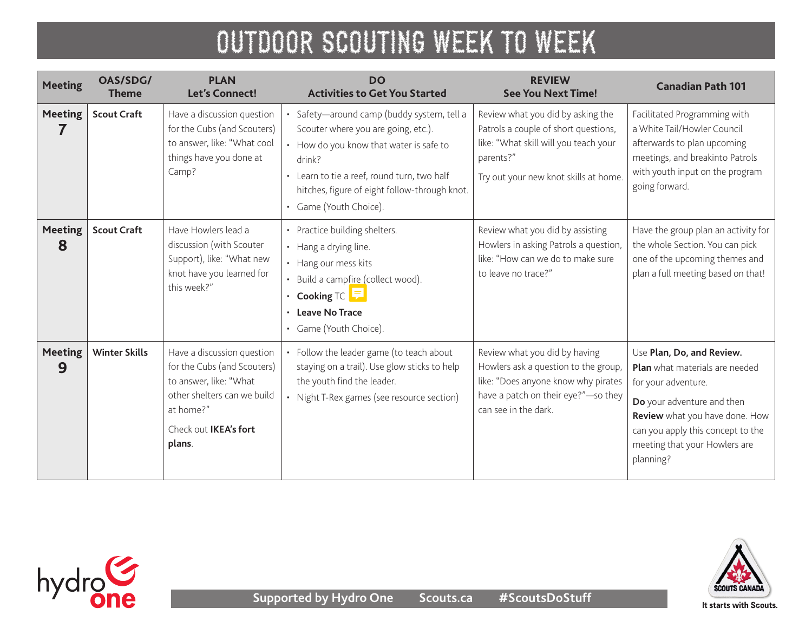| <b>Meeting</b>      | OAS/SDG/<br><b>Theme</b> | <b>PLAN</b><br><b>Let's Connect!</b>                                                                                                                               | <b>DO</b><br><b>Activities to Get You Started</b>                                                                                                                                                                                                            | <b>REVIEW</b><br><b>See You Next Time!</b>                                                                                                                                  | <b>Canadian Path 101</b>                                                                                                                                                                                                              |
|---------------------|--------------------------|--------------------------------------------------------------------------------------------------------------------------------------------------------------------|--------------------------------------------------------------------------------------------------------------------------------------------------------------------------------------------------------------------------------------------------------------|-----------------------------------------------------------------------------------------------------------------------------------------------------------------------------|---------------------------------------------------------------------------------------------------------------------------------------------------------------------------------------------------------------------------------------|
| <b>Meeting</b>      | <b>Scout Craft</b>       | Have a discussion question<br>for the Cubs (and Scouters)<br>to answer, like: "What cool<br>things have you done at<br>Camp?                                       | Safety-around camp (buddy system, tell a<br>Scouter where you are going, etc.).<br>How do you know that water is safe to<br>drink?<br>• Learn to tie a reef, round turn, two half<br>hitches, figure of eight follow-through knot.<br>• Game (Youth Choice). | Review what you did by asking the<br>Patrols a couple of short questions,<br>like: "What skill will you teach your<br>parents?"<br>Try out your new knot skills at home.    | Facilitated Programming with<br>a White Tail/Howler Council<br>afterwards to plan upcoming<br>meetings, and breakinto Patrols<br>with youth input on the program<br>going forward.                                                    |
| <b>Meeting</b><br>8 | <b>Scout Craft</b>       | Have Howlers lead a<br>discussion (with Scouter<br>Support), like: "What new<br>knot have you learned for<br>this week?"                                           | • Practice building shelters.<br>• Hang a drying line.<br>• Hang our mess kits<br>Build a campfire (collect wood).<br>Cooking $TC$ $\boxed{\overline{P}}$<br><b>Leave No Trace</b><br>Game (Youth Choice).                                                   | Review what you did by assisting<br>Howlers in asking Patrols a question,<br>like: "How can we do to make sure<br>to leave no trace?"                                       | Have the group plan an activity for<br>the whole Section. You can pick<br>one of the upcoming themes and<br>plan a full meeting based on that!                                                                                        |
| <b>Meeting</b><br>9 | <b>Winter Skills</b>     | Have a discussion question<br>for the Cubs (and Scouters)<br>to answer, like: "What<br>other shelters can we build<br>at home?"<br>Check out IKEA's fort<br>plans. | Follow the leader game (to teach about<br>staying on a trail). Use glow sticks to help<br>the youth find the leader.<br>Night T-Rex games (see resource section)                                                                                             | Review what you did by having<br>Howlers ask a question to the group,<br>like: "Does anyone know why pirates<br>have a patch on their eye?"-so they<br>can see in the dark. | Use Plan, Do, and Review.<br>Plan what materials are needed<br>for your adventure.<br>Do your adventure and then<br>Review what you have done. How<br>can you apply this concept to the<br>meeting that your Howlers are<br>planning? |



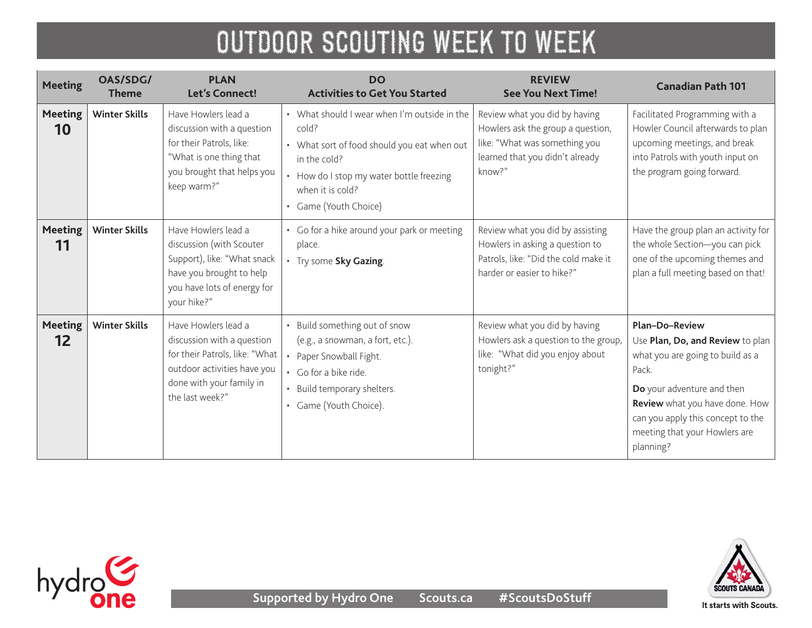| <b>Meeting</b>       | OAS/SDG/<br><b>Theme</b> | <b>PLAN</b><br><b>Let's Connect!</b>                                                                                                                              | <b>DO</b><br><b>Activities to Get You Started</b>                                                                                                                                                             | <b>REVIEW</b><br><b>See You Next Time!</b>                                                                                                       | <b>Canadian Path 101</b>                                                                                                                                                                                                                           |
|----------------------|--------------------------|-------------------------------------------------------------------------------------------------------------------------------------------------------------------|---------------------------------------------------------------------------------------------------------------------------------------------------------------------------------------------------------------|--------------------------------------------------------------------------------------------------------------------------------------------------|----------------------------------------------------------------------------------------------------------------------------------------------------------------------------------------------------------------------------------------------------|
| <b>Meeting</b><br>10 | <b>Winter Skills</b>     | Have Howlers lead a<br>discussion with a question<br>for their Patrols, like:<br>"What is one thing that<br>you brought that helps you<br>keep warm?"             | • What should I wear when I'm outside in the<br>cold?<br>• What sort of food should you eat when out<br>in the cold?<br>• How do I stop my water bottle freezing<br>when it is cold?<br>• Game (Youth Choice) | Review what you did by having<br>Howlers ask the group a question,<br>like: "What was something you<br>learned that you didn't already<br>know?" | Facilitated Programming with a<br>Howler Council afterwards to plan<br>upcoming meetings, and break<br>into Patrols with youth input on<br>the program going forward.                                                                              |
| <b>Meeting</b><br>11 | <b>Winter Skills</b>     | Have Howlers lead a<br>discussion (with Scouter<br>Support), like: "What snack<br>have you brought to help<br>you have lots of energy for<br>your hike?"          | • Go for a hike around your park or meeting<br>place.<br>• Try some Sky Gazing.                                                                                                                               | Review what you did by assisting<br>Howlers in asking a question to<br>Patrols, like: "Did the cold make it<br>harder or easier to hike?"        | Have the group plan an activity for<br>the whole Section-you can pick<br>one of the upcoming themes and<br>plan a full meeting based on that!                                                                                                      |
| <b>Meeting</b><br>12 | <b>Winter Skills</b>     | Have Howlers lead a<br>discussion with a question<br>for their Patrols, like: "What<br>outdoor activities have you<br>done with your family in<br>the last week?" | Build something out of snow<br>(e.g., a snowman, a fort, etc.).<br>Paper Snowball Fight.<br>• Go for a bike ride.<br>Build temporary shelters.<br>Game (Youth Choice).                                        | Review what you did by having<br>Howlers ask a question to the group,<br>like: "What did you enjoy about<br>tonight?"                            | Plan-Do-Review<br>Use Plan, Do, and Review to plan<br>what you are going to build as a<br>Pack.<br>Do your adventure and then<br>Review what you have done. How<br>can you apply this concept to the<br>meeting that your Howlers are<br>planning? |



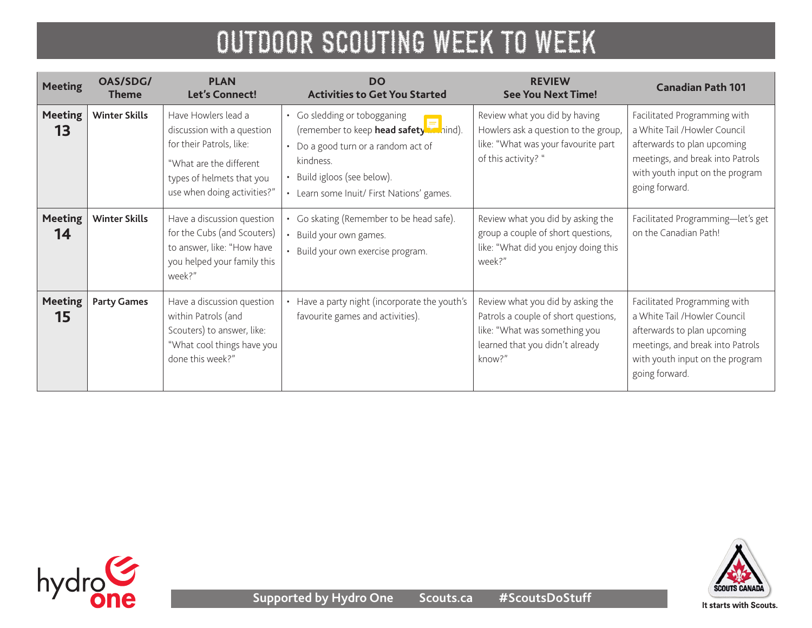| <b>Meeting</b>       | OAS/SDG/<br><b>Theme</b> | <b>PLAN</b><br><b>Let's Connect!</b>                                                                                                                                 | <b>DO</b><br><b>Activities to Get You Started</b>                                                                                                                                                            | <b>REVIEW</b><br><b>See You Next Time!</b>                                                                                                              | <b>Canadian Path 101</b>                                                                                                                                                              |
|----------------------|--------------------------|----------------------------------------------------------------------------------------------------------------------------------------------------------------------|--------------------------------------------------------------------------------------------------------------------------------------------------------------------------------------------------------------|---------------------------------------------------------------------------------------------------------------------------------------------------------|---------------------------------------------------------------------------------------------------------------------------------------------------------------------------------------|
| <b>Meeting</b><br>13 | <b>Winter Skills</b>     | Have Howlers lead a<br>discussion with a question<br>for their Patrols, like:<br>"What are the different<br>types of helmets that you<br>use when doing activities?" | • Go sledding or tobogganing<br>(remember to keep <b>head safety</b> in hind).<br>• Do a good turn or a random act of<br>kindness.<br>Build igloos (see below).<br>• Learn some Inuit/ First Nations' games. | Review what you did by having<br>Howlers ask a question to the group,<br>like: "What was your favourite part<br>of this activity? "                     | Facilitated Programming with<br>a White Tail /Howler Council<br>afterwards to plan upcoming<br>meetings, and break into Patrols<br>with youth input on the program<br>going forward.  |
| <b>Meeting</b><br>14 | <b>Winter Skills</b>     | Have a discussion question<br>for the Cubs (and Scouters)<br>to answer, like: "How have<br>you helped your family this<br>week?"                                     | Go skating (Remember to be head safe).<br>Build your own games.<br>Build your own exercise program.                                                                                                          | Review what you did by asking the<br>group a couple of short questions,<br>like: "What did you enjoy doing this<br>week?"                               | Facilitated Programming-let's get<br>on the Canadian Path!                                                                                                                            |
| <b>Meeting</b><br>15 | <b>Party Games</b>       | Have a discussion question<br>within Patrols (and<br>Scouters) to answer, like:<br>"What cool things have you<br>done this week?"                                    | Have a party night (incorporate the youth's<br>favourite games and activities).                                                                                                                              | Review what you did by asking the<br>Patrols a couple of short questions,<br>like: "What was something you<br>learned that you didn't already<br>know?" | Facilitated Programming with<br>a White Tail / Howler Council<br>afterwards to plan upcoming<br>meetings, and break into Patrols<br>with youth input on the program<br>going forward. |



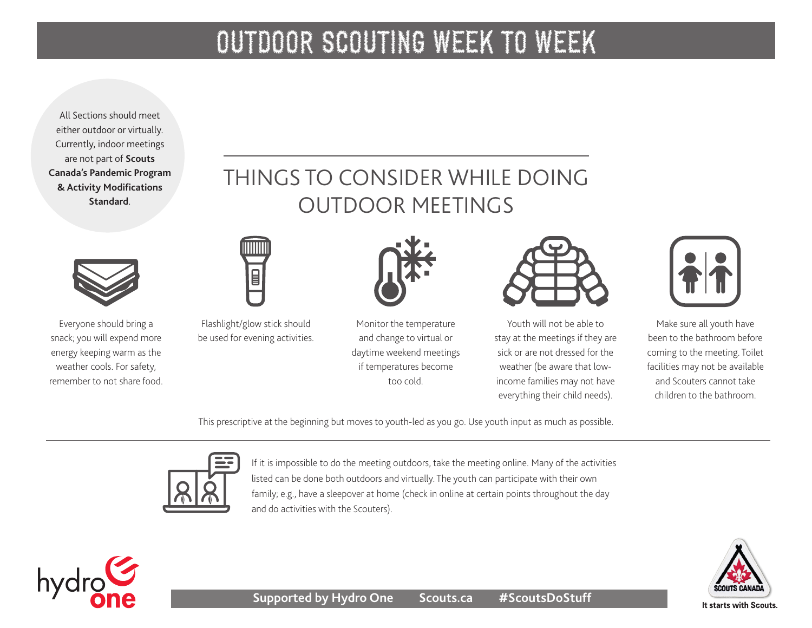All Sections should meet either outdoor or virtually. Currently, indoor meetings are not part of **[Scouts](https://www.scouts.ca/resources/bpp/policies/pandemic-program-modification-standards.html)  [Canada's Pandemic Program](https://www.scouts.ca/resources/bpp/policies/pandemic-program-modification-standards.html)  [& Activity Modifications](https://www.scouts.ca/resources/bpp/policies/pandemic-program-modification-standards.html)  [Standard](https://www.scouts.ca/resources/bpp/policies/pandemic-program-modification-standards.html)**.



Everyone should bring a snack; you will expend more energy keeping warm as the weather cools. For safety, remember to not share food.

### THINGS TO CONSIDER WHILE DOING OUTDOOR MEETINGS



Flashlight/glow stick should be used for evening activities.

 $\Box$ 

Monitor the temperature and change to virtual or daytime weekend meetings if temperatures become too cold.

Youth will not be able to stay at the meetings if they are sick or are not dressed for the weather (be aware that lowincome families may not have everything their child needs).



Make sure all youth have been to the bathroom before coming to the meeting. Toilet facilities may not be available and Scouters cannot take children to the bathroom.

This prescriptive at the beginning but moves to youth-led as you go. Use youth input as much as possible.



If it is impossible to do the meeting outdoors, take the meeting online. Many of the activities listed can be done both outdoors and virtually. The youth can participate with their own family; e.g., have a sleepover at home (check in online at certain points throughout the day and do activities with the Scouters).



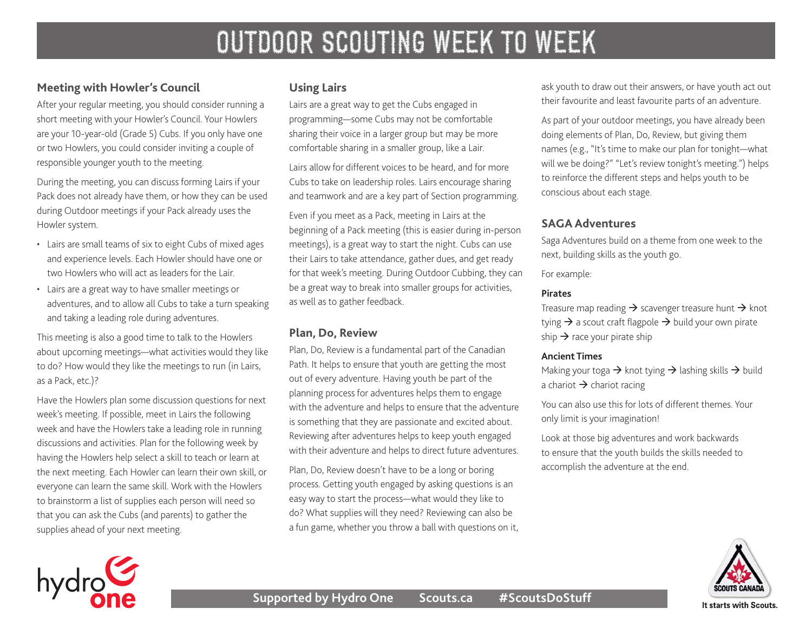### **Meeting with Howler's Council**

After your regular meeting, you should consider running a short meeting with your Howler's Council. Your Howlers are your 10-year-old (Grade 5) Cubs. If you only have one or two Howlers, you could consider inviting a couple of responsible younger youth to the meeting.

During the meeting, you can discuss forming Lairs if your Pack does not already have them, or how they can be used during Outdoor meetings if your Pack already uses the Howler system.

- Lairs are small teams of six to eight Cubs of mixed ages and experience levels. Each Howler should have one or two Howlers who will act as leaders for the Lair.
- Lairs are a great way to have smaller meetings or adventures, and to allow all Cubs to take a turn speaking and taking a leading role during adventures.

This meeting is also a good time to talk to the Howlers about upcoming meetings—what activities would they like to do? How would they like the meetings to run (in Lairs, as a Pack, etc.)?

Have the Howlers plan some discussion questions for next week's meeting. If possible, meet in Lairs the following week and have the Howlers take a leading role in running discussions and activities. Plan for the following week by having the Howlers help select a skill to teach or learn at the next meeting. Each Howler can learn their own skill, or everyone can learn the same skill. Work with the Howlers to brainstorm a list of supplies each person will need so that you can ask the Cubs (and parents) to gather the supplies ahead of your next meeting.

#### **Using Lairs**

Lairs are a great way to get the Cubs engaged in programming—some Cubs may not be comfortable sharing their voice in a larger group but may be more comfortable sharing in a smaller group, like a Lair.

Lairs allow for different voices to be heard, and for more Cubs to take on leadership roles. Lairs encourage sharing and teamwork and are a key part of Section programming.

Even if you meet as a Pack, meeting in Lairs at the beginning of a Pack meeting (this is easier during in-person meetings), is a great way to start the night. Cubs can use their Lairs to take attendance, gather dues, and get ready for that week's meeting. During Outdoor Cubbing, they can be a great way to break into smaller groups for activities, as well as to gather feedback.

#### **Plan, Do, Review**

Plan, Do, Review is a fundamental part of the Canadian Path. It helps to ensure that youth are getting the most out of every adventure. Having youth be part of the planning process for adventures helps them to engage with the adventure and helps to ensure that the adventure is something that they are passionate and excited about. Reviewing after adventures helps to keep youth engaged with their adventure and helps to direct future adventures.

Plan, Do, Review doesn't have to be a long or boring process. Getting youth engaged by asking questions is an easy way to start the process—what would they like to do? What supplies will they need? Reviewing can also be a fun game, whether you throw a ball with questions on it, ask youth to draw out their answers, or have youth act out their favourite and least favourite parts of an adventure.

As part of your outdoor meetings, you have already been doing elements of Plan, Do, Review, but giving them names (e.g., "It's time to make our plan for tonight—what will we be doing?" "Let's review tonight's meeting.") helps to reinforce the different steps and helps youth to be conscious about each stage.

#### **SAGA Adventures**

Saga Adventures build on a theme from one week to the next, building skills as the youth go.

#### For example:

#### **Pirates**

Treasure map reading  $\rightarrow$  scavenger treasure hunt  $\rightarrow$  knot tying  $\rightarrow$  a scout craft flagpole  $\rightarrow$  build your own pirate ship  $\rightarrow$  race your pirate ship

#### **Ancient Times**

Making your toga  $\rightarrow$  knot tying  $\rightarrow$  lashing skills  $\rightarrow$  build a chariot  $\rightarrow$  chariot racing

You can also use this for lots of different themes. Your only limit is your imagination!

Look at those big adventures and work backwards to ensure that the youth builds the skills needed to accomplish the adventure at the end.



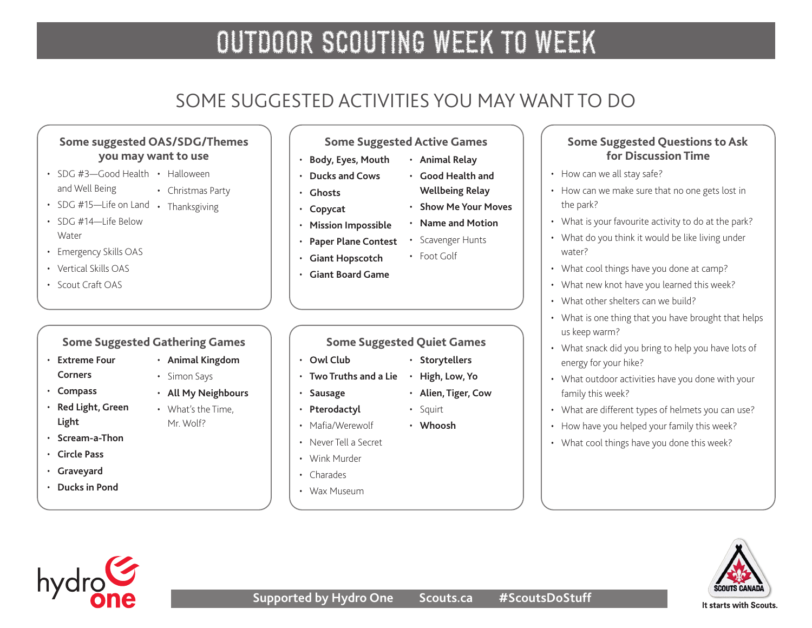### SOME SUGGESTED ACTIVITIES YOU MAY WANT TO DO

### **Some suggested OAS/SDG/Themes you may want to use**

- SDG #3-Good Health Halloween and Well Being • Christmas Party
- SDG #15-Life on Land Thanksgiving
- $\cdot$  SDG #14-I ife Below **Water**
- Emergency Skills OAS
- Vertical Skills OAS
- Scout Craft OAS

### **Some Suggested Gathering Games**

- **[Extreme Four](http://greatcampgames.ca/wall-to-wall-games/extreme-4-corners/)  [Corners](http://greatcampgames.ca/wall-to-wall-games/extreme-4-corners/)**
- **[Compass](http://greatcampgames.ca/wall-to-wall-games/compass/)**
- **[Red Light, Green](http://greatcampgames.ca/active-games/red-light-green-light/)  [Light](http://greatcampgames.ca/active-games/red-light-green-light/)**
- **[Scream-a-Thon](http://greatcampgames.ca/active-games/scream-thon/)**
- **[Circle Pass](http://greatcampgames.ca/active-games/circle-pass/)**
- **[Graveyard](http://greatcampgames.ca/active-games/graveyard/)**
- **[Ducks in Pond](http://greatcampgames.ca/active-games/ducks-in-pond/)**
- **[Animal Kingdom](https://www.asphaltgreen.org/blog/rep-game-of-the-month-animal-kingdom)**
- Simon Says • **[All My Neighbours](https://www.asphaltgreen.org/blog/rep-game-of-the-month-all-my-neighbors)**
- What's the Time,
- Mr. Wolf?
- 
- - Mafia/Werewolf
	-
	-
	-
	- Wax Museum

**Some Suggested Active Games**

• **[Good Health and](https://asphaltgreen.org/blog/rep-game-fitness-relay)  [Wellbeing Relay](https://asphaltgreen.org/blog/rep-game-fitness-relay)** • **[Show Me Your Moves](https://asphaltgreen.org/blog/rep-game-show-me-your-moves)** • **[Name and Motion](https://asphaltgreen.org/blog/rep-game-name-and-motion/)** • Scavenger Hunts

- **[Body, Eyes, Mouth](http://greatcampgames.ca/active-games/body-eyes-mouth/)** • **[Animal Relay](https://asphaltgreen.org/blog/rep-game-animal-relay/)**
- **[Ducks and Cows](http://greatcampgames.ca/silly-games/ducks-cows/)**
- **[Ghosts](http://greatcampgames.ca/silly-games/ghosts/)**
- **[Copycat](http://greatcampgames.ca/silly-games/copy-cat/)**
- **[Mission Impossible](http://greatcampgames.ca/special-games/mission-impossible/)**
- **[Paper Plane Contest](http://greatcampgames.ca/craft-games/paper-airplane-contest/)**
- **[Giant Hopscotch](http://greatcampgames.ca/craft-games/giant-hopscotch/)**
- **[Giant Board Game](http://greatcampgames.ca/special-games/giant-board-game/)**

### **Some Suggested Quiet Games**

- **[Owl Club](http://greatcampgames.ca/tricky-games/owl-club/)**
- **[Two Truths and a Lie](http://greatcampgames.ca/circle-games/two-truths-lie/) [High, Low, Yo](https://asphaltgreen.org/blog/rep-game-ah-so-co)**
- **[Sausage](http://greatcampgames.ca/silly-games/sausage/)**
- **[Pterodactyl](http://greatcampgames.ca/silly-games/pterodactyl/)**
- 
- Never Tell a Secret
- Wink Murder
- Charades
- 
- **Some Suggested Questions to Ask for Discussion Time**
- How can we all stay safe?
- How can we make sure that no one gets lost in the park?
- What is your favourite activity to do at the park?
- What do you think it would be like living under water?
- What cool things have you done at camp?
- What new knot have you learned this week?
- What other shelters can we build?
- What is one thing that you have brought that helps us keep warm?
- What snack did you bring to help you have lots of energy for your hike?
- What outdoor activities have you done with your family this week?
- What are different types of helmets you can use?
- How have you helped your family this week?
- What cool things have you done this week?





- **[Storytellers](https://asphaltgreen.org/blog/rep-game-storytellers/)**
- **[Alien, Tiger, Cow](https://asphaltgreen.org/blog/rep-game-alien-tiger-cow/)**

• **[Whoosh](https://asphaltgreen.org/blog/rep-game-whoosh/)**

• Foot Golf

• Squirt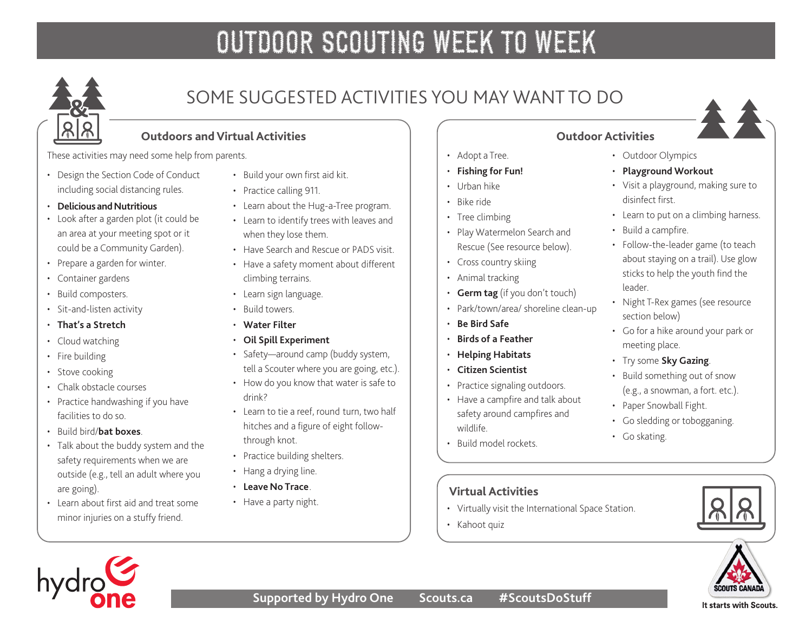

### SOME SUGGESTED ACTIVITIES YOU MAY WANT TO DO

### **Outdoors and Virtual Activities**

These activities may need some help from parents.

- Design the Section Code of Conduct including social distancing rules.
- **[Delicious and Nutritious](https://www.scouts.ca/resources/activity-finder/activity-finder/delicious-and-nutritious.html)**
- Look after a garden plot (it could be an area at your meeting spot or it could be a Community Garden).
- Prepare a garden for winter.
- Container gardens
- Build composters.
- Sit-and-listen activity
- **[That's a Stretch](https://www.scouts.ca/resources/activity-finder/activity-finder/thats-a-stretch.html)**
- Cloud watching
- Fire building
- Stove cooking
- Chalk obstacle courses
- Practice handwashing if you have facilities to do so.
- Build bird/**[bat boxes](https://www.scouts.ca/resources/activity-finder/activity-finder/build-bat-boxes.html)**.
- Talk about the buddy system and the safety requirements when we are outside (e.g., tell an adult where you are going).
- Learn about first aid and treat some minor injuries on a stuffy friend.
- Build your own first aid kit.
- Practice calling 911.
- Learn about the Hug-a-Tree program.
- Learn to identify trees with leaves and when they lose them.
- Have Search and Rescue or PADS visit.
- Have a safety moment about different climbing terrains.
- Learn sign language.
- Build towers.
- **[Water Filter](https://www.scouts.ca/resources/activity-finder/activity-finder/water-filter.html)**
- **[Oil Spill Experiment](https://www.scouts.ca/resources/activity-finder/activity-finder/oil-spill-experiment.html)**
- Safety—around camp (buddy system,
	- tell a Scouter where you are going, etc.).
- How do you know that water is safe to drink?
- Learn to tie a reef, round turn, two half hitches and a figure of eight followthrough knot.
- Practice building shelters.
- Hang a drying line.
- **[Leave No Trace](https://www.leavenotrace.ca/home)**.
- Have a party night.
- Adopt a Tree.
- **[Fishing for Fun!](https://www.scouts.ca/resources/activity-finder/activity-finder/fishing-for-fun.html)**
- Urban hike
- Bike ride
- Tree climbing
- Play Watermelon Search and Rescue (See resource below).
- Cross country skiing
- Animal tracking
- **Germ tag** (if you don't touch)
- Park/town/area/ shoreline clean-up
- **[Be Bird Safe](https://www.scouts.ca/resources/activity-finder/activity-finder/be-bird-safe.html)**
- **[Birds of a Feather](https://www.scouts.ca/resources/activity-finder/activity-finder/birds-of-a-feather.html)**
- **[Helping Habitats](https://www.scouts.ca/resources/activity-finder/activity-finder/helping-habitats.html)**
- Have a campfire and talk about safety around campfires and wildlife.
- Build model rockets.

### **Virtual Activities**

- Virtually visit the International Space Station.
- Kahoot quiz



### **Outdoor Activities**

- Outdoor Olympics
- **[Playground Workout](https://www.scouts.ca/resources/activity-finder/activity-finder/the-playground-workout.html)**
- Visit a playground, making sure to disinfect first.
- Learn to put on a climbing harness.
- Build a campfire.
- Follow-the-leader game (to teach about staying on a trail). Use glow sticks to help the youth find the leader.
- Night T-Rex games (see resource section below)
- Go for a hike around your park or meeting place.
- Try some **[Sky Gazing](https://www.scouts.ca/resources/activity-finder/activity-finder/stargazing.html)**.
- Build something out of snow (e.g., a snowman, a fort. etc.).
- Paper Snowball Fight.
- Go sledding or tobogganing.
- Go skating.







It starts with Scouts.

**SCOUTS CANAL** 

- -
	-
	-
	-
	-
- **[Citizen Scientist](https://www.scouts.ca/resources/activity-finder/activity-finder/citizen-scientist.html)** • Practice signaling outdoors.
	-
-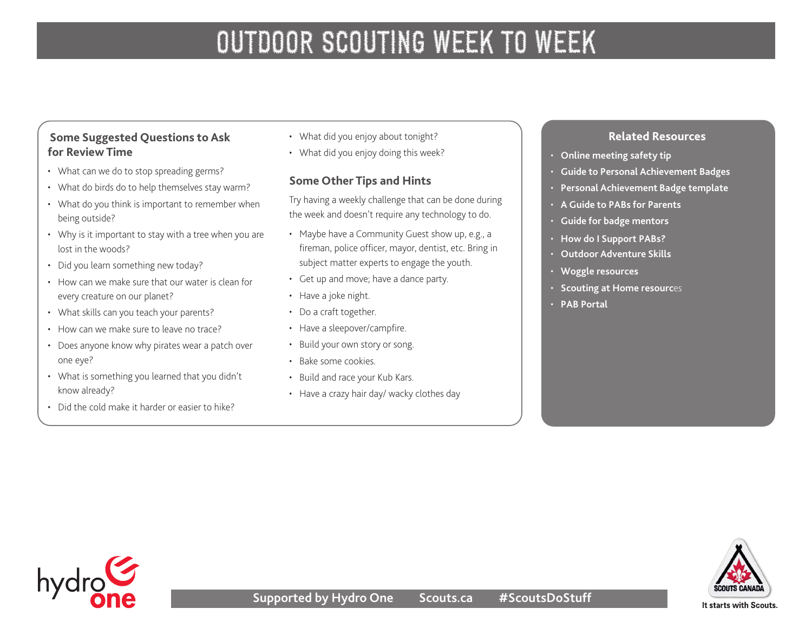### **Some Suggested Questions to Ask for Review Time**

- What can we do to stop spreading germs?
- What do birds do to help themselves stay warm?
- What do you think is important to remember when being outside?
- Why is it important to stay with a tree when you are lost in the woods?
- Did you learn something new today?
- How can we make sure that our water is clean for every creature on our planet?
- What skills can you teach your parents?
- How can we make sure to leave no trace?
- Does anyone know why pirates wear a patch over one eye?
- What is something you learned that you didn't know already?
- Did the cold make it harder or easier to hike?
- What did you enjoy about tonight?
- What did you enjoy doing this week?

### **Some Other Tips and Hints**

Try having a weekly challenge that can be done during the week and doesn't require any technology to do.

- Maybe have a Community Guest show up, e.g., a fireman, police officer, mayor, dentist, etc. Bring in subject matter experts to engage the youth.
- Get up and move; have a dance party.
- Have a joke night.
- Do a craft together.
- Have a sleepover/campfire.
- Build your own story or song.
- Bake some cookies.
- Build and race your Kub Kars.
- Have a crazy hair day/ wacky clothes day

#### **Related Resources**

- **[Online meeting safety tip](https://scoutsca.s3.amazonaws.com/2020/04/virtual-scouting-safety.pdf)**
- **[Guide to Personal Achievement Badges](https://www.scouts.ca/scoutinglife/wp-content/uploads/bs/bs-pab-guide.pdf)**
- **[Personal Achievement Badge template](https://scoutsca.s3.amazonaws.com/2019/02/cs-pab-template.pdf)**
- **[A Guide to PABs for Parents](https://scoutsca.s3.amazonaws.com/2019/02/guide-to-pab-for-parents.pdf)**
- **[Guide for badge mentors](https://scoutsca.s3.amazonaws.com/2019/01/st-pdr-guide-for-badge-mentors-pab.pdf)**
- **[How do I Support PABs?](https://scoutsca.s3.amazonaws.com/2019/02/guide-to-pab-for-parents.pdf)**
- **[Outdoor Adventure Skills](https://www.scouts.ca/programs/canadian-path/about/outdoor-adventure-skills.html)**
- **[Woggle resources](https://www.scouts.ca/news-and-events/newsletter-archives.html)**
- **[Scouting at Home resourc](https://www.scouts.ca/news-and-events/newsletter-archives.html)**es
- **[PAB Portal](https://www.scouts.ca/programs/canadian-path/personal-achievement-badges/overview.html)**



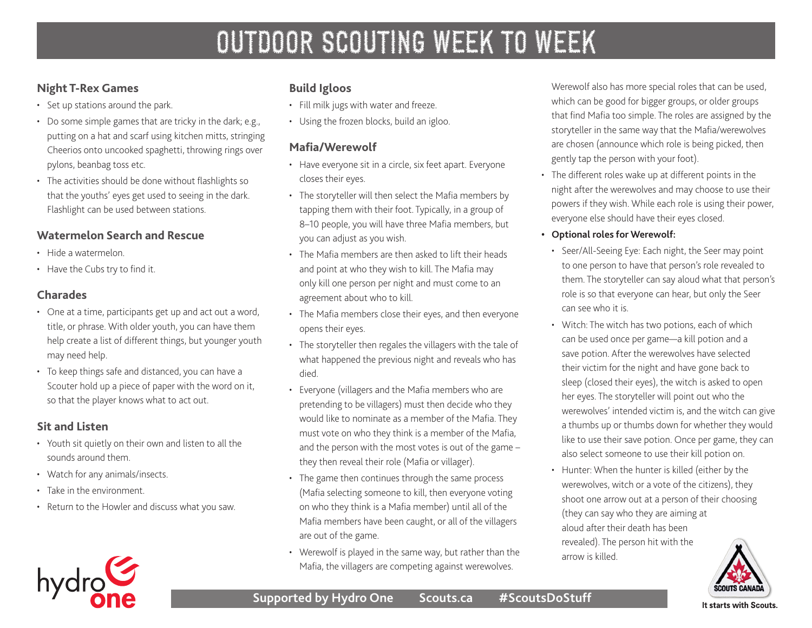### **Night T-Rex Games**

- Set up stations around the park.
- Do some simple games that are tricky in the dark; e.g., putting on a hat and scarf using kitchen mitts, stringing Cheerios onto uncooked spaghetti, throwing rings over pylons, beanbag toss etc.
- The activities should be done without flashlights so that the youths' eyes get used to seeing in the dark. Flashlight can be used between stations.

### **Watermelon Search and Rescue**

- Hide a watermelon.
- Have the Cubs try to find it.

### **Charades**

- One at a time, participants get up and act out a word, title, or phrase. With older youth, you can have them help create a list of different things, but younger youth may need help.
- To keep things safe and distanced, you can have a Scouter hold up a piece of paper with the word on it, so that the player knows what to act out.

### **Sit and Listen**

- Youth sit quietly on their own and listen to all the sounds around them.
- Watch for any animals/insects.
- Take in the environment.
- Return to the Howler and discuss what you saw.

# hydro

### **Build Igloos**

- Fill milk jugs with water and freeze.
- Using the frozen blocks, build an igloo.

### **Mafia/Werewolf**

- Have everyone sit in a circle, six feet apart. Everyone closes their eyes.
- The storyteller will then select the Mafia members by tapping them with their foot. Typically, in a group of 8–10 people, you will have three Mafia members, but you can adjust as you wish.
- The Mafia members are then asked to lift their heads and point at who they wish to kill. The Mafia may only kill one person per night and must come to an agreement about who to kill.
- The Mafia members close their eyes, and then everyone opens their eyes.
- The storyteller then regales the villagers with the tale of what happened the previous night and reveals who has died.
- Everyone (villagers and the Mafia members who are pretending to be villagers) must then decide who they would like to nominate as a member of the Mafia. They must vote on who they think is a member of the Mafia, and the person with the most votes is out of the game – they then reveal their role (Mafia or villager).
- The game then continues through the same process (Mafia selecting someone to kill, then everyone voting on who they think is a Mafia member) until all of the Mafia members have been caught, or all of the villagers are out of the game.
- Werewolf is played in the same way, but rather than the Mafia, the villagers are competing against werewolves.

Werewolf also has more special roles that can be used, which can be good for bigger groups, or older groups that find Mafia too simple. The roles are assigned by the storyteller in the same way that the Mafia/werewolves are chosen (announce which role is being picked, then gently tap the person with your foot).

- The different roles wake up at different points in the night after the werewolves and may choose to use their powers if they wish. While each role is using their power, everyone else should have their eyes closed.
- **• Optional roles for Werewolf:** 
	- Seer/All-Seeing Eye: Each night, the Seer may point to one person to have that person's role revealed to them. The storyteller can say aloud what that person's role is so that everyone can hear, but only the Seer can see who it is.
	- Witch: The witch has two potions, each of which can be used once per game—a kill potion and a save potion. After the werewolves have selected their victim for the night and have gone back to sleep (closed their eyes), the witch is asked to open her eyes. The storyteller will point out who the werewolves' intended victim is, and the witch can give a thumbs up or thumbs down for whether they would like to use their save potion. Once per game, they can also select someone to use their kill potion on.
	- Hunter: When the hunter is killed (either by the werewolves, witch or a vote of the citizens), they shoot one arrow out at a person of their choosing (they can say who they are aiming at aloud after their death has been revealed). The person hit with the arrow is killed.



### **Supported by Hydro One Scouts.ca #ScoutsDoStuff**